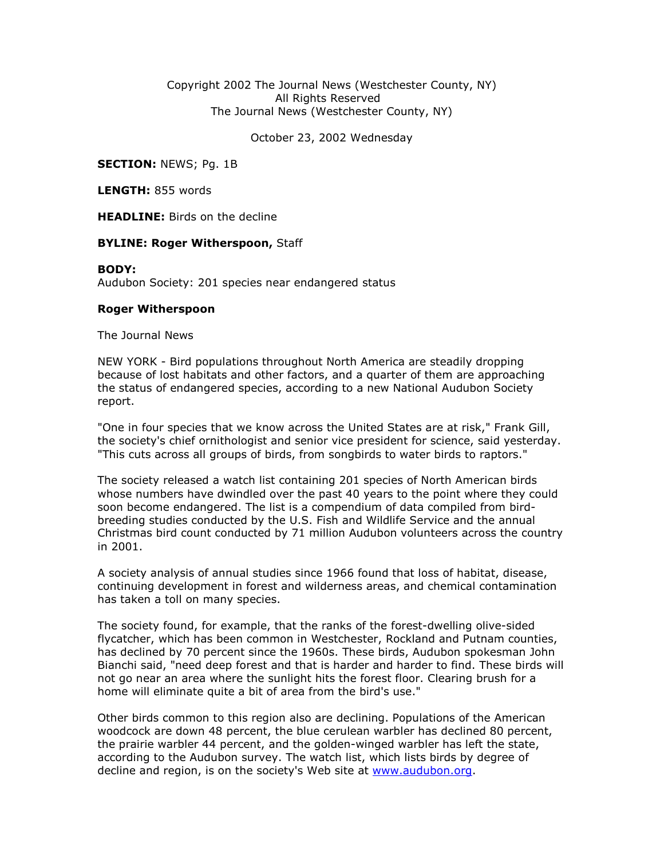## Copyright 2002 The Journal News (Westchester County, NY) All Rights Reserved The Journal News (Westchester County, NY)

October 23, 2002 Wednesday

**SECTION: NEWS; Pg. 1B** 

LENGTH: 855 words

**HEADLINE:** Birds on the decline

## BYLINE: Roger Witherspoon, Staff

## BODY:

Audubon Society: 201 species near endangered status

## Roger Witherspoon

The Journal News

NEW YORK - Bird populations throughout North America are steadily dropping because of lost habitats and other factors, and a quarter of them are approaching the status of endangered species, according to a new National Audubon Society report.

"One in four species that we know across the United States are at risk," Frank Gill, the society's chief ornithologist and senior vice president for science, said yesterday. "This cuts across all groups of birds, from songbirds to water birds to raptors."

The society released a watch list containing 201 species of North American birds whose numbers have dwindled over the past 40 years to the point where they could soon become endangered. The list is a compendium of data compiled from birdbreeding studies conducted by the U.S. Fish and Wildlife Service and the annual Christmas bird count conducted by 71 million Audubon volunteers across the country in 2001.

A society analysis of annual studies since 1966 found that loss of habitat, disease, continuing development in forest and wilderness areas, and chemical contamination has taken a toll on many species.

The society found, for example, that the ranks of the forest-dwelling olive-sided flycatcher, which has been common in Westchester, Rockland and Putnam counties, has declined by 70 percent since the 1960s. These birds, Audubon spokesman John Bianchi said, "need deep forest and that is harder and harder to find. These birds will not go near an area where the sunlight hits the forest floor. Clearing brush for a home will eliminate quite a bit of area from the bird's use."

Other birds common to this region also are declining. Populations of the American woodcock are down 48 percent, the blue cerulean warbler has declined 80 percent, the prairie warbler 44 percent, and the golden-winged warbler has left the state, according to the Audubon survey. The watch list, which lists birds by degree of decline and region, is on the society's Web site at www.audubon.org.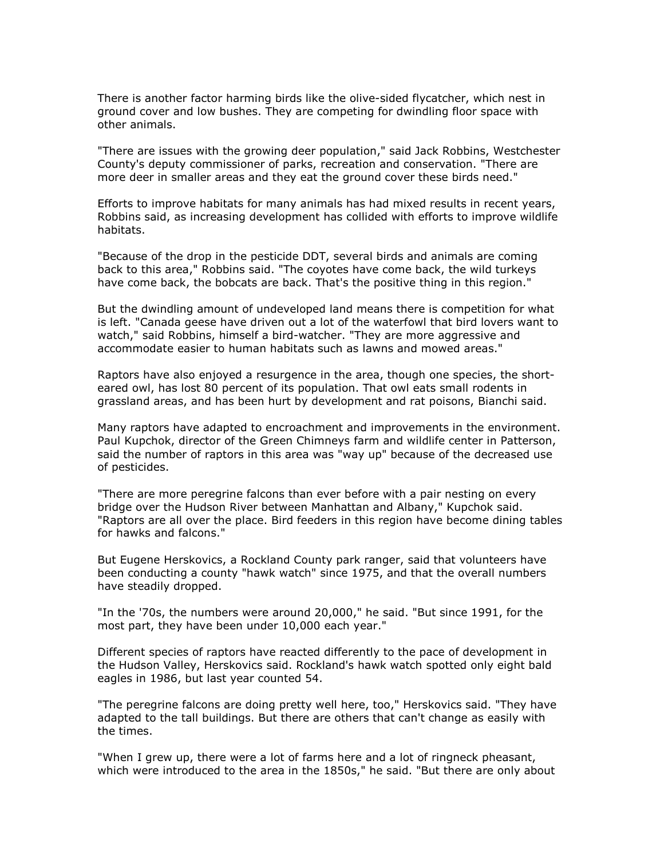There is another factor harming birds like the olive-sided flycatcher, which nest in ground cover and low bushes. They are competing for dwindling floor space with other animals.

"There are issues with the growing deer population," said Jack Robbins, Westchester County's deputy commissioner of parks, recreation and conservation. "There are more deer in smaller areas and they eat the ground cover these birds need."

Efforts to improve habitats for many animals has had mixed results in recent years, Robbins said, as increasing development has collided with efforts to improve wildlife habitats.

"Because of the drop in the pesticide DDT, several birds and animals are coming back to this area," Robbins said. "The coyotes have come back, the wild turkeys have come back, the bobcats are back. That's the positive thing in this region."

But the dwindling amount of undeveloped land means there is competition for what is left. "Canada geese have driven out a lot of the waterfowl that bird lovers want to watch," said Robbins, himself a bird-watcher. "They are more aggressive and accommodate easier to human habitats such as lawns and mowed areas."

Raptors have also enjoyed a resurgence in the area, though one species, the shorteared owl, has lost 80 percent of its population. That owl eats small rodents in grassland areas, and has been hurt by development and rat poisons, Bianchi said.

Many raptors have adapted to encroachment and improvements in the environment. Paul Kupchok, director of the Green Chimneys farm and wildlife center in Patterson, said the number of raptors in this area was "way up" because of the decreased use of pesticides.

"There are more peregrine falcons than ever before with a pair nesting on every bridge over the Hudson River between Manhattan and Albany," Kupchok said. "Raptors are all over the place. Bird feeders in this region have become dining tables for hawks and falcons."

But Eugene Herskovics, a Rockland County park ranger, said that volunteers have been conducting a county "hawk watch" since 1975, and that the overall numbers have steadily dropped.

"In the '70s, the numbers were around 20,000," he said. "But since 1991, for the most part, they have been under 10,000 each year."

Different species of raptors have reacted differently to the pace of development in the Hudson Valley, Herskovics said. Rockland's hawk watch spotted only eight bald eagles in 1986, but last year counted 54.

"The peregrine falcons are doing pretty well here, too," Herskovics said. "They have adapted to the tall buildings. But there are others that can't change as easily with the times.

"When I grew up, there were a lot of farms here and a lot of ringneck pheasant, which were introduced to the area in the 1850s," he said. "But there are only about